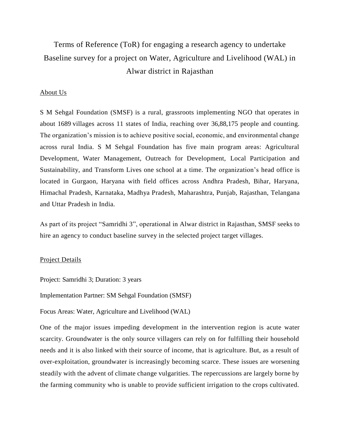# Terms of Reference (ToR) for engaging a research agency to undertake Baseline survey for a project on Water, Agriculture and Livelihood (WAL) in Alwar district in Rajasthan

### About Us

S M Sehgal Foundation (SMSF) is a rural, grassroots implementing NGO that operates in about 1689 villages across 11 states of India, reaching over 36,88,175 people and counting. The organization's mission is to achieve positive social, economic, and environmental change across rural India. S M Sehgal Foundation has five main program areas: Agricultural Development, Water Management, Outreach for Development, Local Participation and Sustainability, and Transform Lives one school at a time. The organization's head office is located in Gurgaon, Haryana with field offices across Andhra Pradesh, Bihar, Haryana, Himachal Pradesh, Karnataka, Madhya Pradesh, Maharashtra, Punjab, Rajasthan, Telangana and Uttar Pradesh in India.

As part of its project "Samridhi 3", operational in Alwar district in Rajasthan, SMSF seeks to hire an agency to conduct baseline survey in the selected project target villages.

### Project Details

Project: Samridhi 3; Duration: 3 years

Implementation Partner: SM Sehgal Foundation (SMSF)

Focus Areas: Water, Agriculture and Livelihood (WAL)

One of the major issues impeding development in the intervention region is acute water scarcity. Groundwater is the only source villagers can rely on for fulfilling their household needs and it is also linked with their source of income, that is agriculture. But, as a result of over-exploitation, groundwater is increasingly becoming scarce. These issues are worsening steadily with the advent of climate change vulgarities. The repercussions are largely borne by the farming community who is unable to provide sufficient irrigation to the crops cultivated.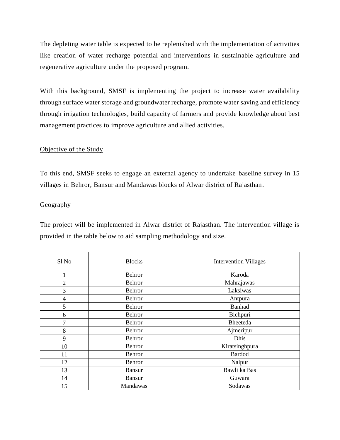The depleting water table is expected to be replenished with the implementation of activities like creation of water recharge potential and interventions in sustainable agriculture and regenerative agriculture under the proposed program.

With this background, SMSF is implementing the project to increase water availability through surface water storage and groundwater recharge, promote water saving and efficiency through irrigation technologies, build capacity of farmers and provide knowledge about best management practices to improve agriculture and allied activities.

# Objective of the Study

To this end, SMSF seeks to engage an external agency to undertake baseline survey in 15 villages in Behror, Bansur and Mandawas blocks of Alwar district of Rajasthan.

# **Geography**

The project will be implemented in Alwar district of Rajasthan. The intervention village is provided in the table below to aid sampling methodology and size.

| Sl <sub>No</sub> | <b>Blocks</b> | <b>Intervention Villages</b> |
|------------------|---------------|------------------------------|
|                  | Behror        | Karoda                       |
| $\overline{2}$   | Behror        | Mahrajawas                   |
| 3                | Behror        | Laksiwas                     |
| 4                | Behror        | Antpura                      |
| 5                | Behror        | <b>Banhad</b>                |
| 6                | Behror        | Bichpuri                     |
| 7                | Behror        | <b>Bheeteda</b>              |
| 8                | Behror        | Ajmeripur                    |
| 9                | Behror        | Dhis                         |
| 10               | Behror        | Kiratsinghpura               |
| 11               | Behror        | <b>Bardod</b>                |
| 12               | Behror        | Nalpur                       |
| 13               | <b>Bansur</b> | Bawli ka Bas                 |
| 14               | <b>Bansur</b> | Guwara                       |
| 15               | Mandawas      | Sodawas                      |